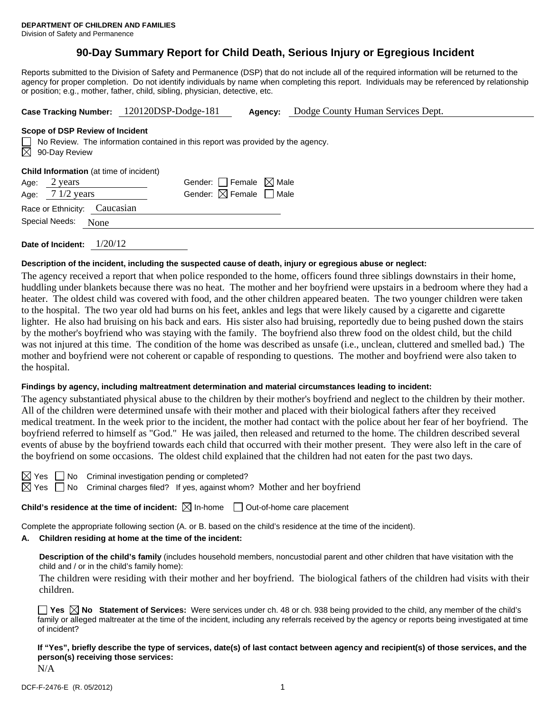# **90-Day Summary Report for Child Death, Serious Injury or Egregious Incident**

Reports submitted to the Division of Safety and Permanence (DSP) that do not include all of the required information will be returned to the agency for proper completion. Do not identify individuals by name when completing this report. Individuals may be referenced by relationship or position; e.g., mother, father, child, sibling, physician, detective, etc.

|                                                                                                                                                           | Case Tracking Number: 120120DSP-Dodge-181 | Agency: | Dodge County Human Services Dept. |  |  |  |  |  |
|-----------------------------------------------------------------------------------------------------------------------------------------------------------|-------------------------------------------|---------|-----------------------------------|--|--|--|--|--|
| Scope of DSP Review of Incident<br>No Review. The information contained in this report was provided by the agency.<br>$\Box$<br>$\boxtimes$ 90-Day Review |                                           |         |                                   |  |  |  |  |  |
| <b>Child Information</b> (at time of incident)                                                                                                            |                                           |         |                                   |  |  |  |  |  |
| 2 years<br>Age:                                                                                                                                           | Gender: Female $\boxtimes$ Male           |         |                                   |  |  |  |  |  |
| $71/2$ years<br>Age:                                                                                                                                      | Gender: $\boxtimes$ Female $\Box$ Male    |         |                                   |  |  |  |  |  |
| Caucasian<br>Race or Ethnicity:                                                                                                                           |                                           |         |                                   |  |  |  |  |  |

**Date of Incident:** 1/20/12

Special Needs: None

#### **Description of the incident, including the suspected cause of death, injury or egregious abuse or neglect:**

The agency received a report that when police responded to the home, officers found three siblings downstairs in their home, huddling under blankets because there was no heat. The mother and her boyfriend were upstairs in a bedroom where they had a heater. The oldest child was covered with food, and the other children appeared beaten. The two younger children were taken to the hospital. The two year old had burns on his feet, ankles and legs that were likely caused by a cigarette and cigarette lighter. He also had bruising on his back and ears. His sister also had bruising, reportedly due to being pushed down the stairs by the mother's boyfriend who was staying with the family. The boyfriend also threw food on the oldest child, but the child was not injured at this time. The condition of the home was described as unsafe (i.e., unclean, cluttered and smelled bad.) The mother and boyfriend were not coherent or capable of responding to questions. The mother and boyfriend were also taken to the hospital.

#### **Findings by agency, including maltreatment determination and material circumstances leading to incident:**

The agency substantiated physical abuse to the children by their mother's boyfriend and neglect to the children by their mother. All of the children were determined unsafe with their mother and placed with their biological fathers after they received medical treatment. In the week prior to the incident, the mother had contact with the police about her fear of her boyfriend. The boyfriend referred to himself as "God." He was jailed, then released and returned to the home. The children described several events of abuse by the boyfriend towards each child that occurred with their mother present. They were also left in the care of the boyfriend on some occasions. The oldest child explained that the children had not eaten for the past two days.

| ı |  |
|---|--|
| ш |  |

No Criminal investigation pending or completed?

 $\boxtimes$  Yes  $\Box$  No Criminal charges filed? If yes, against whom? Mother and her boyfriend

**Child's residence at the time of incident:**  $\boxtimes$  In-home  $\Box$  Out-of-home care placement

Complete the appropriate following section (A. or B. based on the child's residence at the time of the incident).

# **A. Children residing at home at the time of the incident:**

**Description of the child's family** (includes household members, noncustodial parent and other children that have visitation with the child and / or in the child's family home):

The children were residing with their mother and her boyfriend. The biological fathers of the children had visits with their children.

**Yes**  $\boxtimes$  **No** Statement of Services: Were services under ch. 48 or ch. 938 being provided to the child, any member of the child's family or alleged maltreater at the time of the incident, including any referrals received by the agency or reports being investigated at time of incident?

**If "Yes", briefly describe the type of services, date(s) of last contact between agency and recipient(s) of those services, and the person(s) receiving those services:** 

N/A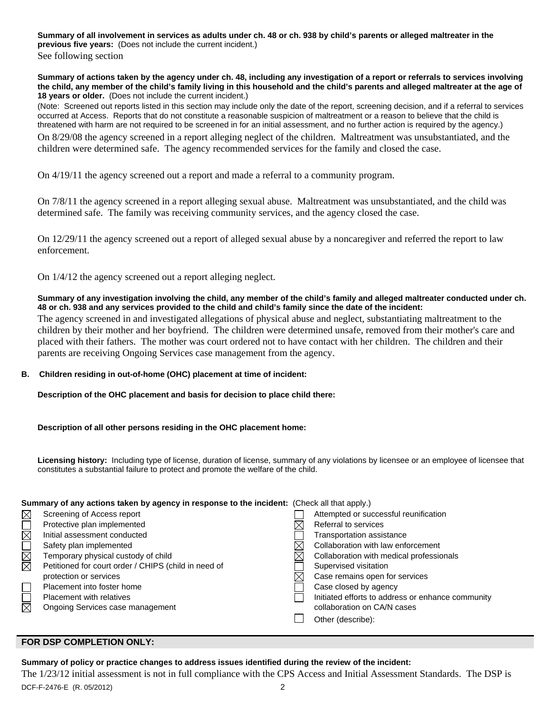**Summary of all involvement in services as adults under ch. 48 or ch. 938 by child's parents or alleged maltreater in the previous five years:** (Does not include the current incident.)

See following section

**Summary of actions taken by the agency under ch. 48, including any investigation of a report or referrals to services involving the child, any member of the child's family living in this household and the child's parents and alleged maltreater at the age of 18 years or older.** (Does not include the current incident.)

(Note: Screened out reports listed in this section may include only the date of the report, screening decision, and if a referral to services occurred at Access. Reports that do not constitute a reasonable suspicion of maltreatment or a reason to believe that the child is threatened with harm are not required to be screened in for an initial assessment, and no further action is required by the agency.)

On 8/29/08 the agency screened in a report alleging neglect of the children. Maltreatment was unsubstantiated, and the children were determined safe. The agency recommended services for the family and closed the case.

On 4/19/11 the agency screened out a report and made a referral to a community program.

On 7/8/11 the agency screened in a report alleging sexual abuse. Maltreatment was unsubstantiated, and the child was determined safe. The family was receiving community services, and the agency closed the case.

On 12/29/11 the agency screened out a report of alleged sexual abuse by a noncaregiver and referred the report to law enforcement.

On 1/4/12 the agency screened out a report alleging neglect.

### **Summary of any investigation involving the child, any member of the child's family and alleged maltreater conducted under ch. 48 or ch. 938 and any services provided to the child and child's family since the date of the incident:**

The agency screened in and investigated allegations of physical abuse and neglect, substantiating maltreatment to the children by their mother and her boyfriend. The children were determined unsafe, removed from their mother's care and placed with their fathers. The mother was court ordered not to have contact with her children. The children and their parents are receiving Ongoing Services case management from the agency.

# **B. Children residing in out-of-home (OHC) placement at time of incident:**

**Description of the OHC placement and basis for decision to place child there:** 

**Description of all other persons residing in the OHC placement home:** 

**Licensing history:** Including type of license, duration of license, summary of any violations by licensee or an employee of licensee that constitutes a substantial failure to protect and promote the welfare of the child.

# **Summary of any actions taken by agency in response to the incident:** (Check all that apply.)

| $\boxtimes$            | Screening of Access report                           | Attempted or successful reunification             |
|------------------------|------------------------------------------------------|---------------------------------------------------|
| $\boxtimes$            | Protective plan implemented                          | Referral to services                              |
|                        | Initial assessment conducted                         | Transportation assistance                         |
|                        | Safety plan implemented                              | Collaboration with law enforcement                |
| MML                    | Temporary physical custody of child                  | Collaboration with medical professionals          |
|                        | Petitioned for court order / CHIPS (child in need of | Supervised visitation                             |
|                        | protection or services                               | Case remains open for services                    |
|                        | Placement into foster home                           | Case closed by agency                             |
|                        | <b>Placement with relatives</b>                      | Initiated efforts to address or enhance community |
| $\overline{\boxtimes}$ | Ongoing Services case management                     | collaboration on CA/N cases                       |
|                        |                                                      | Other (describe):                                 |
|                        |                                                      |                                                   |

# **FOR DSP COMPLETION ONLY:**

# **Summary of policy or practice changes to address issues identified during the review of the incident:**

DCF-F-2476-E (R. 05/2012) 2 The 1/23/12 initial assessment is not in full compliance with the CPS Access and Initial Assessment Standards. The DSP is